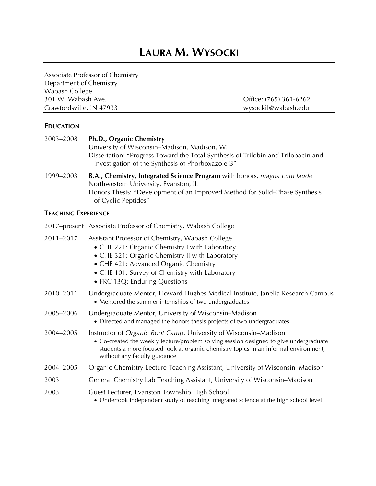# **LAURA M. WYSOCKI**

Associate Professor of Chemistry Department of Chemistry Wabash College 301 W. Wabash Ave. Office: (765) 361-6262 Crawfordsville, IN 47933 wysockil@wabash.edu

# **EDUCATION**

| 2003-2008 | Ph.D., Organic Chemistry                                                                                                               |
|-----------|----------------------------------------------------------------------------------------------------------------------------------------|
|           | University of Wisconsin-Madison, Madison, WI                                                                                           |
|           | Dissertation: "Progress Toward the Total Synthesis of Trilobin and Trilobacin and<br>Investigation of the Synthesis of Phorboxazole B" |
| 1999–2003 | <b>B.A., Chemistry, Integrated Science Program</b> with honors, magna cum laude                                                        |
|           | Northwestern University, Evanston, IL                                                                                                  |
|           | Honors Thesis: "Development of an Improved Method for Solid–Phase Synthesis                                                            |

# of Cyclic Peptides" **TEACHING EXPERIENCE**

|           | 2017–present Associate Professor of Chemistry, Wabash College                                                                                                                                                                                                                      |
|-----------|------------------------------------------------------------------------------------------------------------------------------------------------------------------------------------------------------------------------------------------------------------------------------------|
| 2011-2017 | Assistant Professor of Chemistry, Wabash College<br>• CHE 221: Organic Chemistry I with Laboratory<br>• CHE 321: Organic Chemistry II with Laboratory<br>• CHE 421: Advanced Organic Chemistry<br>• CHE 101: Survey of Chemistry with Laboratory<br>• FRC 13Q: Enduring Questions  |
| 2010-2011 | Undergraduate Mentor, Howard Hughes Medical Institute, Janelia Research Campus<br>• Mentored the summer internships of two undergraduates                                                                                                                                          |
| 2005-2006 | Undergraduate Mentor, University of Wisconsin-Madison<br>• Directed and managed the honors thesis projects of two undergraduates                                                                                                                                                   |
| 2004-2005 | Instructor of Organic Boot Camp, University of Wisconsin-Madison<br>• Co-created the weekly lecture/problem solving session designed to give undergraduate<br>students a more focused look at organic chemistry topics in an informal environment,<br>without any faculty guidance |
| 2004-2005 | Organic Chemistry Lecture Teaching Assistant, University of Wisconsin–Madison                                                                                                                                                                                                      |
| 2003      | General Chemistry Lab Teaching Assistant, University of Wisconsin–Madison                                                                                                                                                                                                          |
| 2003      | Guest Lecturer, Evanston Township High School<br>• Undertook independent study of teaching integrated science at the high school level                                                                                                                                             |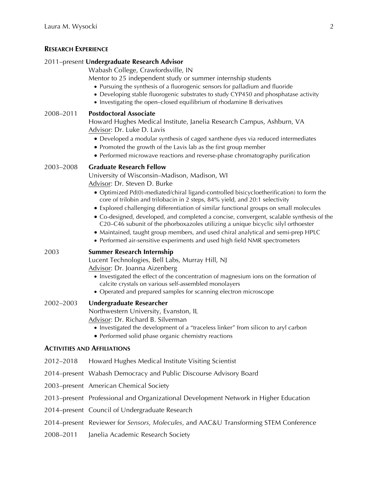## **RESEARCH EXPERIENCE**

#### 2011–present **Undergraduate Research Advisor**

Wabash College, Crawfordsville, IN

Mentor to 25 independent study or summer internship students

- Pursuing the synthesis of a fluorogenic sensors for palladium and fluoride
- Developing stable fluorogenic substrates to study CYP450 and phosphatase activity
- Investigating the open–closed equilibrium of rhodamine B derivatives

### 2008–2011 **Postdoctoral Associate**

Howard Hughes Medical Institute, Janelia Research Campus, Ashburn, VA Advisor: Dr. Luke D. Lavis

- Developed a modular synthesis of caged xanthene dyes via reduced intermediates
- Promoted the growth of the Lavis lab as the first group member
- Performed microwave reactions and reverse-phase chromatography purification

### 2003–2008 **Graduate Research Fellow**

University of Wisconsin–Madison, Madison, WI Advisor: Dr. Steven D. Burke

- Optimized Pd(0)-mediated/chiral ligand-controlled bis(cycloetherification) to form the core of trilobin and trilobacin in 2 steps, 84% yield, and 20:1 selectivity
- Explored challenging differentiation of similar functional groups on small molecules
- Co-designed, developed, and completed a concise, convergent, scalable synthesis of the C20–C46 subunit of the phorboxazoles utilizing a unique bicyclic silyl orthoester
- Maintained, taught group members, and used chiral analytical and semi-prep HPLC
- Performed air-sensitive experiments and used high field NMR spectrometers

# 2003 **Summer Research Internship**

Lucent Technologies, Bell Labs, Murray Hill, NJ Advisor: Dr. Joanna Aizenberg

- Investigated the effect of the concentration of magnesium ions on the formation of calcite crystals on various self-assembled monolayers
- Operated and prepared samples for scanning electron microscope

2002–2003 **Undergraduate Researcher**

Northwestern University, Evanston, IL

Advisor: Dr. Richard B. Silverman

- Investigated the development of a "traceless linker" from silicon to aryl carbon
- Performed solid phase organic chemistry reactions

#### **ACTIVITIES AND AFFILIATIONS**

- 2012–2018 Howard Hughes Medical Institute Visiting Scientist
- 2014–present Wabash Democracy and Public Discourse Advisory Board
- 2003–present American Chemical Society
- 2013–present Professional and Organizational Development Network in Higher Education
- 2014–present Council of Undergraduate Research
- 2014–present Reviewer for *Sensors*, *Molecules*, and AAC&U Transforming STEM Conference
- 2008–2011 Janelia Academic Research Society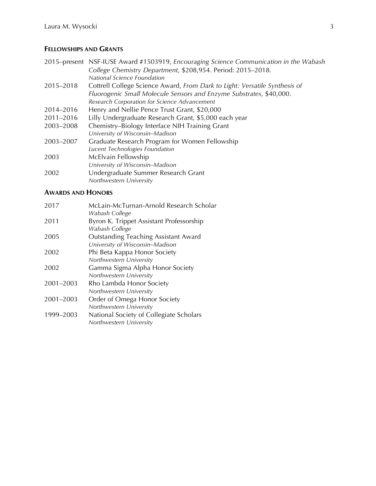## **FELLOWSHIPS AND GRANTS**

- 2015–present NSF-IUSE Award #1503919, *Encouraging Science Communication in the Wabash College Chemistry Department*, \$208,954. Period: 2015–2018. *National Science Foundation*
- 2015–2018 Cottrell College Science Award, *From Dark to Light: Versatile Synthesis of Fluorogenic Small Molecule Sensors and Enzyme Substrates*, \$40,000. *Research Corporation for Science Advancement*
- 2014–2016 Henry and Nellie Pence Trust Grant, \$20,000
- 2011–2016 Lilly Undergraduate Research Grant, \$5,000 each year
- 2003–2008 Chemistry–Biology Interface NIH Training Grant *University of Wisconsin–Madison* 2003–2007 Graduate Research Program for Women Fellowship
- *Lucent Technologies Foundation* 2003 McElvain Fellowship *University of Wisconsin–Madison* 2002 Undergraduate Summer Research Grant *Northwestern University*

### **AWARDS AND HONORS**

| 2017      | McLain-McTurnan-Arnold Research Scholar     |
|-----------|---------------------------------------------|
|           | Wabash College                              |
| 2011      | Byron K. Trippet Assistant Professorship    |
|           | Wabash College                              |
| 2005      | <b>Outstanding Teaching Assistant Award</b> |
|           | University of Wisconsin-Madison             |
| 2002      | Phi Beta Kappa Honor Society                |
|           | Northwestern University                     |
| 2002      | Gamma Sigma Alpha Honor Society             |
|           | Northwestern University                     |
| 2001-2003 | Rho Lambda Honor Society                    |
|           | Northwestern University                     |
| 2001-2003 | Order of Omega Honor Society                |
|           | Northwestern University                     |
| 1999-2003 | National Society of Collegiate Scholars     |
|           | Northwestern University                     |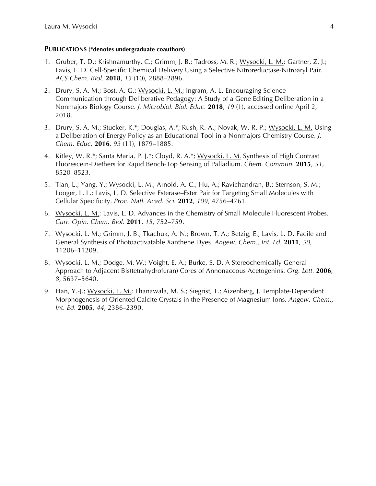#### **PUBLICATIONS (\*denotes undergraduate coauthors)**

- 1. Gruber, T. D.; Krishnamurthy, C.; Grimm, J. B.; Tadross, M. R.; Wysocki, L. M.; Gartner, Z. J.; Lavis, L. D. Cell-Specific Chemical Delivery Using a Selective Nitroreductase-Nitroaryl Pair. *ACS Chem. Biol.* **2018**, *13* (10), 2888–2896.
- 2. Drury, S. A. M.; Bost, A. G.; Wysocki, L. M.; Ingram, A. L. Encouraging Science Communication through Deliberative Pedagogy: A Study of a Gene Editing Deliberation in a Nonmajors Biology Course. *J. Microbiol. Biol. Educ.* **2018**, *19* (1), accessed online April 2, 2018.
- 3. Drury, S. A. M.; Stucker, K.\*; Douglas, A.\*; Rush, R. A.; Novak, W. R. P.; Wysocki, L. M. Using a Deliberation of Energy Policy as an Educational Tool in a Nonmajors Chemistry Course. *J. Chem. Educ.* **2016**, *93* (11), 1879–1885.
- 4. Kitley, W. R.\*; Santa Maria, P. J.\*; Cloyd, R. A.\*; Wysocki, L. M. Synthesis of High Contrast Fluorescein-Diethers for Rapid Bench-Top Sensing of Palladium. *Chem. Commun.* **2015**, *51*, 8520–8523.
- 5. Tian, L.; Yang, Y.; Wysocki, L. M.; Arnold, A. C.; Hu, A.; Ravichandran, B.; Sternson, S. M.; Looger, L. L.; Lavis, L. D. Selective Esterase–Ester Pair for Targeting Small Molecules with Cellular Specificity. *Proc. Natl. Acad. Sci.* **2012**, *109*, 4756–4761.
- 6. Wysocki, L. M.; Lavis, L. D. Advances in the Chemistry of Small Molecule Fluorescent Probes. *Curr. Opin. Chem. Biol.* **2011**, *15*, 752–759.
- 7. Wysocki, L. M.; Grimm, J. B.; Tkachuk, A. N.; Brown, T. A.; Betzig, E.; Lavis, L. D. Facile and General Synthesis of Photoactivatable Xanthene Dyes. *Angew. Chem., Int. Ed.* **2011**, *50*, 11206–11209.
- 8. Wysocki, L. M.; Dodge, M. W.; Voight, E. A.; Burke, S. D. A Stereochemically General Approach to Adjacent Bis(tetrahydrofuran) Cores of Annonaceous Acetogenins. *Org. Lett.* **2006**, *8*, 5637–5640.
- 9. Han, Y.-J.; Wysocki, L. M.; Thanawala, M. S.; Siegrist, T.; Aizenberg, J. Template-Dependent Morphogenesis of Oriented Calcite Crystals in the Presence of Magnesium Ions. *Angew. Chem., Int. Ed.* **2005**, *44*, 2386–2390.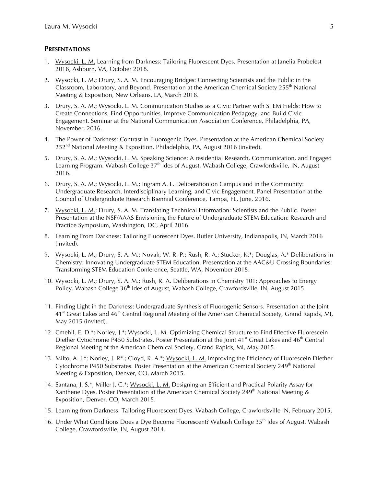#### **PRESENTATIONS**

- 1. Wysocki, L. M. Learning from Darkness: Tailoring Fluorescent Dyes. Presentation at Janelia Probefest 2018, Ashburn, VA, October 2018.
- 2. Wysocki, L. M.; Drury, S. A. M. Encouraging Bridges: Connecting Scientists and the Public in the Classroom, Laboratory, and Beyond. Presentation at the American Chemical Society 255<sup>th</sup> National Meeting & Exposition, New Orleans, LA, March 2018.
- 3. Drury, S. A. M.; Wysocki, L. M. Communication Studies as a Civic Partner with STEM Fields: How to Create Connections, Find Opportunities, Improve Communication Pedagogy, and Build Civic Engagement. Seminar at the National Communication Association Conference, Philadelphia, PA, November, 2016.
- 4. The Power of Darkness: Contrast in Fluorogenic Dyes. Presentation at the American Chemical Society  $252<sup>nd</sup>$  National Meeting & Exposition, Philadelphia, PA, August 2016 (invited).
- 5. Drury, S. A. M.; Wysocki, L. M. Speaking Science: A residential Research, Communication, and Engaged Learning Program. Wabash College 37<sup>th</sup> Ides of August, Wabash College, Crawfordsville, IN, August 2016.
- 6. Drury, S. A. M.; Wysocki, L. M.; Ingram A. L. Deliberation on Campus and in the Community: Undergraduate Research, Interdisciplinary Learning, and Civic Engagement. Panel Presentation at the Council of Undergraduate Research Biennial Conference, Tampa, FL, June, 2016.
- 7. Wysocki, L. M.; Drury, S. A. M. Translating Technical Information: Scientists and the Public. Poster Presentation at the NSF/AAAS Envisioning the Future of Undergraduate STEM Education: Research and Practice Symposium, Washington, DC, April 2016.
- 8. Learning From Darkness: Tailoring Fluorescent Dyes. Butler University, Indianapolis, IN, March 2016 (invited).
- 9. Wysocki, L. M.; Drury, S. A. M.; Novak, W. R. P.; Rush, R. A.; Stucker, K.\*; Douglas, A.\* Deliberations in Chemistry: Innovating Undergraduate STEM Education. Presentation at the AAC&U Crossing Boundaries: Transforming STEM Education Conference, Seattle, WA, November 2015.
- 10. Wysocki, L. M.; Drury, S. A. M.; Rush, R. A. Deliberations in Chemistry 101: Approaches to Energy Policy. Wabash College  $36<sup>th</sup>$  Ides of August, Wabash College, Crawfordsville, IN, August 2015.
- 11. Finding Light in the Darkness: Undergraduate Synthesis of Fluorogenic Sensors. Presentation at the Joint 41<sup>st</sup> Great Lakes and 46<sup>th</sup> Central Regional Meeting of the American Chemical Society, Grand Rapids, MI, May 2015 (invited).
- 12. Cmehil, E. D.\*; Norley, J.\*; Wysocki, L. M. Optimizing Chemical Structure to Find Effective Fluorescein Diether Cytochrome P450 Substrates. Poster Presentation at the Joint  $41<sup>st</sup>$  Great Lakes and  $46<sup>th</sup>$  Central Regional Meeting of the American Chemical Society, Grand Rapids, MI, May 2015.
- 13. Milto, A. J.\*; Norley, J. R\*.; Cloyd, R. A.\*; Wysocki, L. M. Improving the Efficiency of Fluorescein Diether Cytochrome P450 Substrates. Poster Presentation at the American Chemical Society 249<sup>th</sup> National Meeting & Exposition, Denver, CO, March 2015.
- 14. Santana, J. S.\*; Miller J. C.\*; Wysocki, L. M. Designing an Efficient and Practical Polarity Assay for Xanthene Dyes. Poster Presentation at the American Chemical Society 249<sup>th</sup> National Meeting & Exposition, Denver, CO, March 2015.
- 15. Learning from Darkness: Tailoring Fluorescent Dyes. Wabash College, Crawfordsville IN, February 2015.
- 16. Under What Conditions Does a Dye Become Fluorescent? Wabash College 35<sup>th</sup> Ides of August, Wabash College, Crawfordsville, IN, August 2014.